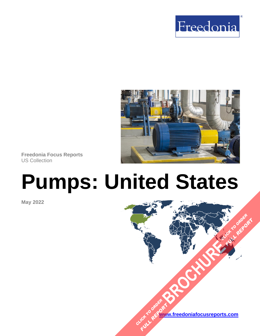



**Freedonia Focus Reports** US Collection

# **Pumps: United States**

**May 2022**

**[www.freedoniafocusreports.com](https://www.freedoniafocusreports.com/redirect.asp?progid=89534&url=/)** CLICK TO ORDER **FULL REPORT** 

**[BROCHURE](https://www.freedoniafocusreports.com/Pumps-United-States-FF70015/?progid=89541) CLICK TO ORDER** 

**FULL REPORT**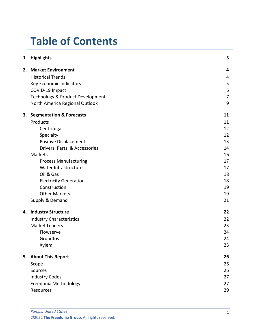# **Table of Contents**

|  | 1. Highlights                    | 3              |
|--|----------------------------------|----------------|
|  | 2. Market Environment            | 4              |
|  | <b>Historical Trends</b>         | 4              |
|  | Key Economic Indicators          | 5              |
|  | COVID-19 Impact                  | 6              |
|  | Technology & Product Development | $\overline{7}$ |
|  | North America Regional Outlook   | 9              |
|  | 3. Segmentation & Forecasts      | 11             |
|  | Products                         | 11             |
|  | Centrifugal                      | 12             |
|  | Specialty                        | 12             |
|  | <b>Positive Displacement</b>     | 13             |
|  | Drivers, Parts, & Accessories    | 14             |
|  | <b>Markets</b>                   | 16             |
|  | <b>Process Manufacturing</b>     | 17             |
|  | Water Infrastructure             | 17             |
|  | Oil & Gas                        | 18             |
|  | <b>Electricity Generation</b>    | 18             |
|  | Construction                     | 19             |
|  | <b>Other Markets</b>             | 19             |
|  | Supply & Demand                  | 21             |
|  | 4. Industry Structure            | 22             |
|  | <b>Industry Characteristics</b>  | 22             |
|  | <b>Market Leaders</b>            | 23             |
|  | Flowserve                        | 24             |
|  | Grundfos                         | 24             |
|  | Xylem                            | 25             |
|  | 5. About This Report             | 26             |
|  | Scope                            | 26             |
|  | Sources                          | 26             |
|  | <b>Industry Codes</b>            | 27             |
|  | Freedonia Methodology            | 27             |
|  | Resources                        | 29             |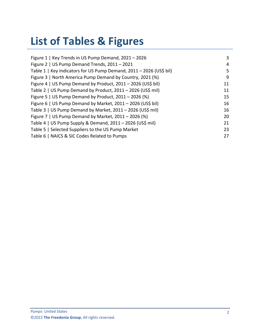# **List of Tables & Figures**

| Figure 1   Key Trends in US Pump Demand, 2021 - 2026                | 3  |
|---------------------------------------------------------------------|----|
| Figure 2   US Pump Demand Trends, 2011 - 2021                       | 4  |
| Table 1   Key Indicators for US Pump Demand, 2011 - 2026 (US\$ bil) | 5. |
| Figure 3   North America Pump Demand by Country, 2021 (%)           | 9  |
| Figure 4   US Pump Demand by Product, 2011 - 2026 (US\$ bil)        | 11 |
| Table 2   US Pump Demand by Product, 2011 - 2026 (US\$ mil)         | 11 |
| Figure 5   US Pump Demand by Product, $2011 - 2026$ (%)             | 15 |
| Figure 6   US Pump Demand by Market, 2011 - 2026 (US\$ bil)         | 16 |
| Table 3   US Pump Demand by Market, 2011 - 2026 (US\$ mil)          | 16 |
| Figure 7   US Pump Demand by Market, $2011 - 2026$ (%)              | 20 |
| Table 4   US Pump Supply & Demand, 2011 - 2026 (US\$ mil)           | 21 |
| Table 5   Selected Suppliers to the US Pump Market                  | 23 |
| Table 6   NAICS & SIC Codes Related to Pumps                        | 27 |
|                                                                     |    |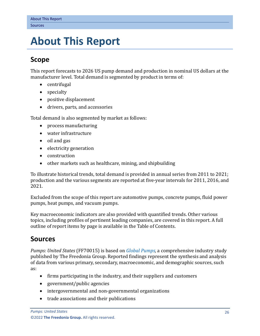# <span id="page-3-0"></span>**5. About This Report**

## <span id="page-3-1"></span>**Scope**

This report forecasts to 2026 US pump demand and production in nominal US dollars at the manufacturer level. Total demand is segmented by product in terms of:

- centrifugal
- specialty
- positive displacement
- drivers, parts, and accessories

Total demand is also segmented by market as follows:

- process manufacturing
- water infrastructure
- oil and gas
- electricity generation
- construction
- other markets such as healthcare, mining, and shipbuilding

To illustrate historical trends, total demand is provided in annual series from 2011 to 2021; production and the various segments are reported at five-year intervals for 2011, 2016, and 2021.

Excluded from the scope of this report are automotive pumps, concrete pumps, fluid power pumps, heat pumps, and vacuum pumps.

Key macroeconomic indicators are also provided with quantified trends. Other various topics, including profiles of pertinent leading companies, are covered in this report. A full outline of report items by page is available in the Table of Contents.

## <span id="page-3-2"></span>**Sources**

*Pumps: United States* (FF70015) is based on *[Global Pumps,](http://www.freedoniagroup.com/DocumentDetails.aspx?ReferrerId=FL-FOCUS&studyid=4329)* a comprehensive industry study published by The Freedonia Group. Reported findings represent the synthesis and analysis of data from various primary, secondary, macroeconomic, and demographic sources, such as:

- firms participating in the industry, and their suppliers and customers
- government/public agencies
- intergovernmental and non-governmental organizations
- trade associations and their publications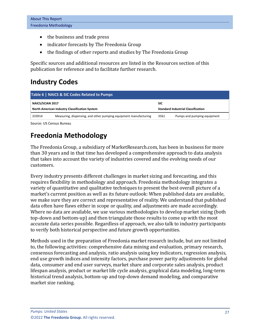- the business and trade press
- indicator forecasts by The Freedonia Group
- the findings of other reports and studies by The Freedonia Group

Specific sources and additional resources are listed in the Resources section of this publication for reference and to facilitate further research.

# <span id="page-4-0"></span>**Industry Codes**

<span id="page-4-2"></span>

| Table 6   NAICS & SIC Codes Related to Pumps                             |                                                                  |            |                                           |  |  |  |
|--------------------------------------------------------------------------|------------------------------------------------------------------|------------|-------------------------------------------|--|--|--|
| NAICS/SCIAN 2017<br><b>North American Industry Classification System</b> |                                                                  | <b>SIC</b> | <b>Standard Industrial Classification</b> |  |  |  |
| 333914                                                                   | Measuring, dispensing, and other pumping equipment manufacturing | 3561       | Pumps and pumping equipment               |  |  |  |

Source: US Census Bureau

# <span id="page-4-1"></span>**Freedonia Methodology**

The Freedonia Group, a subsidiary of MarketResearch.com, has been in business for more than 30 years and in that time has developed a comprehensive approach to data analysis that takes into account the variety of industries covered and the evolving needs of our customers.

Every industry presents different challenges in market sizing and forecasting, and this requires flexibility in methodology and approach. Freedonia methodology integrates a variety of quantitative and qualitative techniques to present the best overall picture of a market's current position as well as its future outlook: When published data are available, we make sure they are correct and representative of reality. We understand that published data often have flaws either in scope or quality, and adjustments are made accordingly. Where no data are available, we use various methodologies to develop market sizing (both top-down and bottom-up) and then triangulate those results to come up with the most accurate data series possible. Regardless of approach, we also talk to industry participants to verify both historical perspective and future growth opportunities.

Methods used in the preparation of Freedonia market research include, but are not limited to, the following activities: comprehensive data mining and evaluation, primary research, consensus forecasting and analysis, ratio analysis using key indicators, regression analysis, end use growth indices and intensity factors, purchase power parity adjustments for global data, consumer and end user surveys, market share and corporate sales analysis, product lifespan analysis, product or market life cycle analysis, graphical data modeling, long-term historical trend analysis, bottom-up and top-down demand modeling, and comparative market size ranking.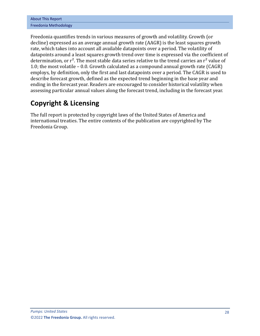| <b>About This Report</b> |
|--------------------------|
| Freedonia Methodology    |

Freedonia quantifies trends in various measures of growth and volatility. Growth (or decline) expressed as an average annual growth rate (AAGR) is the least squares growth rate, which takes into account all available datapoints over a period. The volatility of datapoints around a least squares growth trend over time is expressed via the coefficient of determination, or  $r^2$ . The most stable data series relative to the trend carries an  $r^2$  value of 1.0; the most volatile – 0.0. Growth calculated as a compound annual growth rate (CAGR) employs, by definition, only the first and last datapoints over a period. The CAGR is used to describe forecast growth, defined as the expected trend beginning in the base year and ending in the forecast year. Readers are encouraged to consider historical volatility when assessing particular annual values along the forecast trend, including in the forecast year.

# **Copyright & Licensing**

The full report is protected by copyright laws of the United States of America and international treaties. The entire contents of the publication are copyrighted by The Freedonia Group.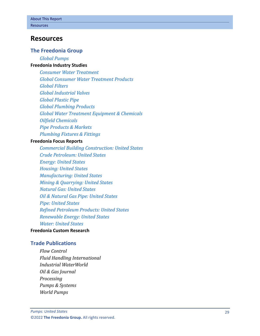## <span id="page-6-0"></span>**Resources**

#### **The Freedonia Group**

*[Global Pumps](http://www.freedoniagroup.com/DocumentDetails.aspx?ReferrerId=FL-FOCUS&studyid=4329)*

#### **[Freedonia Industry Studies](http://www.freedoniagroup.com/Home.aspx?ReferrerId=FL-Focus)**

*[Consumer Water Treatment](https://www.freedoniagroup.com/DocumentDetails.aspx?ReferrerId=FL-FOCUS&StudyId=3855) [Global Consumer Water Treatment](https://www.freedoniagroup.com/DocumentDetails.aspx?ReferrerId=FL-FOCUS&StudyId=4302) Products [Global Filters](https://www.freedoniagroup.com/DocumentDetails.aspx?ReferrerId=FL-FOCUS&StudyId=3711) [Global Industrial Valves](https://www.freedoniagroup.com/DocumentDetails.aspx?ReferrerId=FL-FOCUS&StudyId=4269) [Global Plastic Pipe](https://www.freedoniagroup.com/DocumentDetails.aspx?ReferrerId=FL-FOCUS&StudyId=3879) [Global Plumbing Products](https://www.freedoniagroup.com/DocumentDetails.aspx?ReferrerId=FL-FOCUS&StudyId=3882) [Global Water Treatment Equipment & Chemicals](https://www.freedoniagroup.com/DocumentDetails.aspx?ReferrerId=FL-FOCUS&StudyId=3705) [Oilfield Chemicals](https://www.freedoniagroup.com/DocumentDetails.aspx?ReferrerId=FL-FOCUS&StudyId=3781) [Pipe Products & Markets](https://www.freedoniagroup.com/DocumentDetails.aspx?ReferrerId=FL-FOCUS&StudyId=3851) [Plumbing Fixtures & Fittings](https://www.freedoniagroup.com/DocumentDetails.aspx?ReferrerId=FL-FOCUS&StudyId=3717)*

#### **[Freedonia Focus Reports](https://www.freedoniafocusreports.com/redirect.asp?progid=89534&url=/)**

*[Commercial Building Construction: United States](https://www.freedoniafocusreports.com/pub/31479611.html/?progid=89534) [Crude Petroleum: United States](https://www.freedoniafocusreports.com/Crude-Petroleum-United-States-FF45019/?progid=89534) [Energy: United States](https://www.freedoniafocusreports.com/Energy-United-States-FF45043/?progid=89534) [Housing: United States](https://www.freedoniafocusreports.com/Housing-United-States-FF60024/?progid=89534) [Manufacturing: United States](https://www.freedoniafocusreports.com/Manufacturing-United-States-FF70032/?progid=89534) [Mining & Quarrying: United States](https://www.freedoniafocusreports.com/Mining-Quarrying-United-States-FF65051/?progid=89534) [Natural Gas: United States](https://www.freedoniafocusreports.com/Natural-Gas-United-States-FF45021/?progid=89534) [Oil & Natural Gas Pipe: United States](https://www.freedoniafocusreports.com/Oil-Natural-Gas-Pipe-United-States-FF45046/?progid=89534) [Pipe: United States](https://www.freedoniafocusreports.com/Pipe-United-States-FF60111/?progid=89534) [Refined Petroleum Products: United States](https://www.freedoniafocusreports.com/Refined-Petroleum-Products-United-States-FF45023/?progid=89534) [Renewable Energy: United States](https://www.freedoniafocusreports.com/Renewable-Energy-United-States-FF45041/?progid=89534) [Water: United States](https://www.freedoniafocusreports.com/Water-United-States-FF95025/?progid=89534)*

#### **[Freedonia Custom Research](http://www.freedoniagroup.com/CustomResearch.aspx?ReferrerId=FL-Focus)**

#### **Trade Publications**

*Flow Control Fluid Handling International Industrial WaterWorld Oil & Gas Journal Processing Pumps & Systems World Pumps*